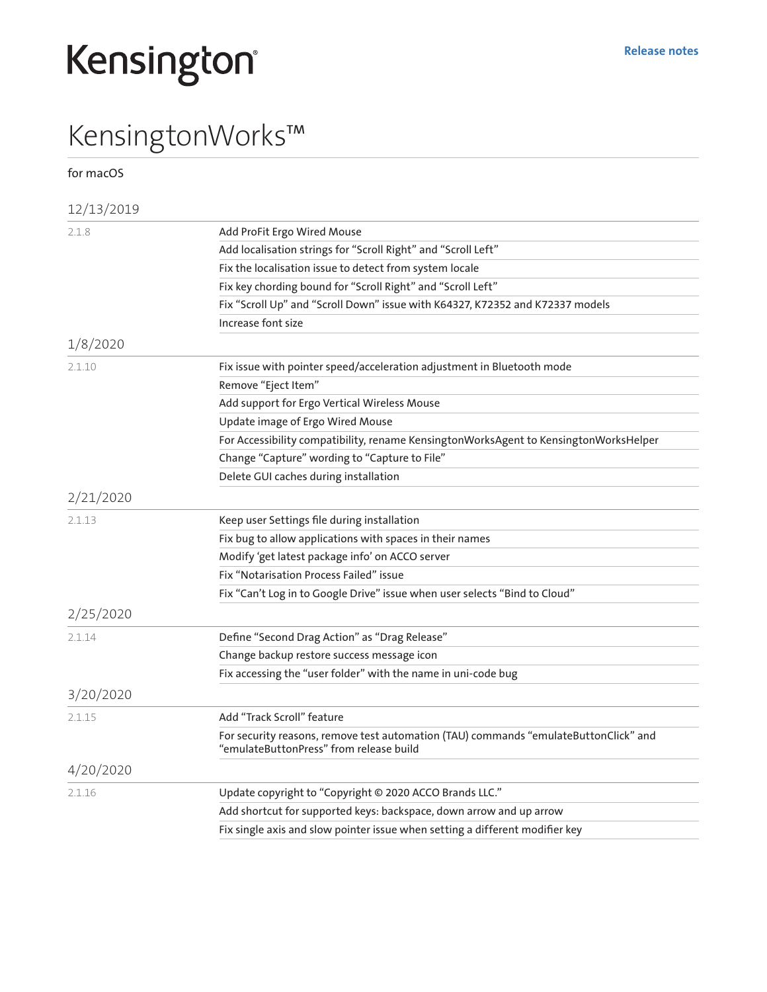## Release notes

## Kensington®

## KensingtonWorks™

for macOS

| 12/13/2019 |                                                                                                                                 |
|------------|---------------------------------------------------------------------------------------------------------------------------------|
| 2.1.8      | Add ProFit Ergo Wired Mouse                                                                                                     |
|            | Add localisation strings for "Scroll Right" and "Scroll Left"                                                                   |
|            | Fix the localisation issue to detect from system locale                                                                         |
|            | Fix key chording bound for "Scroll Right" and "Scroll Left"                                                                     |
|            | Fix "Scroll Up" and "Scroll Down" issue with K64327, K72352 and K72337 models                                                   |
|            | Increase font size                                                                                                              |
| 1/8/2020   |                                                                                                                                 |
| 2.1.10     | Fix issue with pointer speed/acceleration adjustment in Bluetooth mode                                                          |
|            | Remove "Eject Item"                                                                                                             |
|            | Add support for Ergo Vertical Wireless Mouse                                                                                    |
|            | Update image of Ergo Wired Mouse                                                                                                |
|            | For Accessibility compatibility, rename KensingtonWorksAgent to KensingtonWorksHelper                                           |
|            | Change "Capture" wording to "Capture to File"                                                                                   |
|            | Delete GUI caches during installation                                                                                           |
| 2/21/2020  |                                                                                                                                 |
| 2.1.13     | Keep user Settings file during installation                                                                                     |
|            | Fix bug to allow applications with spaces in their names                                                                        |
|            | Modify 'get latest package info' on ACCO server                                                                                 |
|            | Fix "Notarisation Process Failed" issue                                                                                         |
|            | Fix "Can't Log in to Google Drive" issue when user selects "Bind to Cloud"                                                      |
| 2/25/2020  |                                                                                                                                 |
| 2.1.14     | Define "Second Drag Action" as "Drag Release"                                                                                   |
|            | Change backup restore success message icon                                                                                      |
|            | Fix accessing the "user folder" with the name in uni-code bug                                                                   |
| 3/20/2020  |                                                                                                                                 |
| 2.1.15     | Add "Track Scroll" feature                                                                                                      |
|            | For security reasons, remove test automation (TAU) commands "emulateButtonClick" and<br>"emulateButtonPress" from release build |
| 4/20/2020  |                                                                                                                                 |
| 2.1.16     | Update copyright to "Copyright @ 2020 ACCO Brands LLC."                                                                         |
|            | Add shortcut for supported keys: backspace, down arrow and up arrow                                                             |
|            | Fix single axis and slow pointer issue when setting a different modifier key                                                    |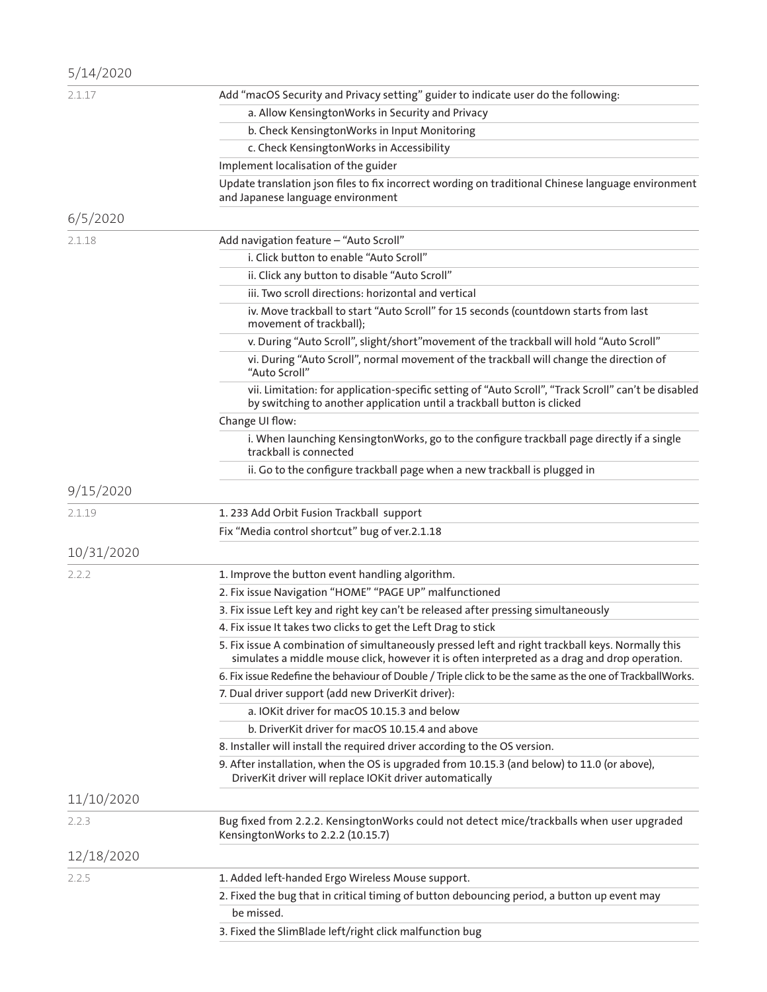| 5/14/2020  |                                                                                                                                                                                                    |
|------------|----------------------------------------------------------------------------------------------------------------------------------------------------------------------------------------------------|
| 2.1.17     | Add "macOS Security and Privacy setting" guider to indicate user do the following:                                                                                                                 |
|            | a. Allow KensingtonWorks in Security and Privacy                                                                                                                                                   |
|            | b. Check KensingtonWorks in Input Monitoring                                                                                                                                                       |
|            | c. Check KensingtonWorks in Accessibility                                                                                                                                                          |
|            | Implement localisation of the guider                                                                                                                                                               |
|            | Update translation json files to fix incorrect wording on traditional Chinese language environment<br>and Japanese language environment                                                            |
| 6/5/2020   |                                                                                                                                                                                                    |
| 2.1.18     | Add navigation feature - "Auto Scroll"                                                                                                                                                             |
|            | i. Click button to enable "Auto Scroll"                                                                                                                                                            |
|            | ii. Click any button to disable "Auto Scroll"                                                                                                                                                      |
|            | iii. Two scroll directions: horizontal and vertical                                                                                                                                                |
|            | iv. Move trackball to start "Auto Scroll" for 15 seconds (countdown starts from last<br>movement of trackball);                                                                                    |
|            | v. During "Auto Scroll", slight/short" movement of the trackball will hold "Auto Scroll"                                                                                                           |
|            | vi. During "Auto Scroll", normal movement of the trackball will change the direction of<br>"Auto Scroll"                                                                                           |
|            | vii. Limitation: for application-specific setting of "Auto Scroll", "Track Scroll" can't be disabled<br>by switching to another application until a trackball button is clicked                    |
|            | Change UI flow:                                                                                                                                                                                    |
|            | i. When launching KensingtonWorks, go to the configure trackball page directly if a single<br>trackball is connected                                                                               |
|            | ii. Go to the configure trackball page when a new trackball is plugged in                                                                                                                          |
| 9/15/2020  |                                                                                                                                                                                                    |
| 2.1.19     | 1. 233 Add Orbit Fusion Trackball support                                                                                                                                                          |
|            | Fix "Media control shortcut" bug of ver.2.1.18                                                                                                                                                     |
| 10/31/2020 |                                                                                                                                                                                                    |
| 2.2.2      | 1. Improve the button event handling algorithm.                                                                                                                                                    |
|            | 2. Fix issue Navigation "HOME" "PAGE UP" malfunctioned                                                                                                                                             |
|            | 3. Fix issue Left key and right key can't be released after pressing simultaneously                                                                                                                |
|            | 4. Fix issue It takes two clicks to get the Left Drag to stick                                                                                                                                     |
|            | 5. Fix issue A combination of simultaneously pressed left and right trackball keys. Normally this<br>simulates a middle mouse click, however it is often interpreted as a drag and drop operation. |
|            | 6. Fix issue Redefine the behaviour of Double / Triple click to be the same as the one of TrackballWorks.                                                                                          |
|            | 7. Dual driver support (add new DriverKit driver):                                                                                                                                                 |
|            | a. IOKit driver for macOS 10.15.3 and below                                                                                                                                                        |
|            | b. DriverKit driver for macOS 10.15.4 and above                                                                                                                                                    |
|            | 8. Installer will install the required driver according to the OS version.                                                                                                                         |
|            | 9. After installation, when the OS is upgraded from 10.15.3 (and below) to 11.0 (or above),<br>DriverKit driver will replace IOKit driver automatically                                            |
| 11/10/2020 |                                                                                                                                                                                                    |
| 2.2.3      | Bug fixed from 2.2.2. KensingtonWorks could not detect mice/trackballs when user upgraded<br>KensingtonWorks to 2.2.2 (10.15.7)                                                                    |
| 12/18/2020 |                                                                                                                                                                                                    |
| 2.2.5      | 1. Added left-handed Ergo Wireless Mouse support.                                                                                                                                                  |
|            | 2. Fixed the bug that in critical timing of button debouncing period, a button up event may                                                                                                        |
|            | be missed.                                                                                                                                                                                         |
|            | 3. Fixed the SlimBlade left/right click malfunction bug                                                                                                                                            |
|            |                                                                                                                                                                                                    |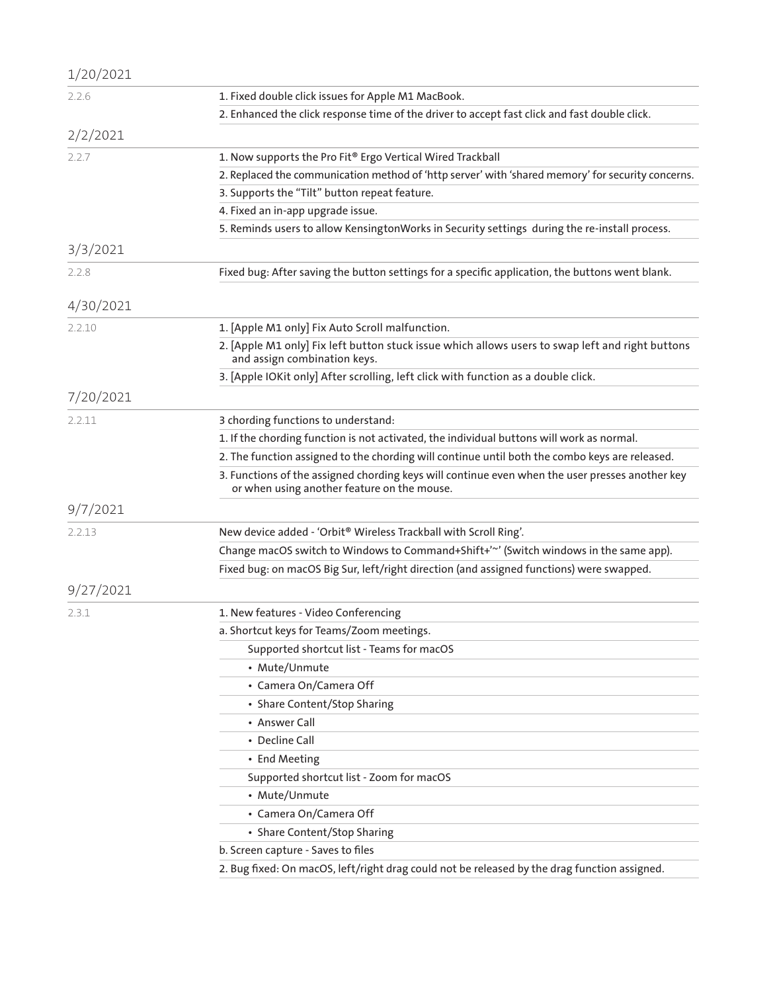| 1/20/2021 |                                                                                                                                                |
|-----------|------------------------------------------------------------------------------------------------------------------------------------------------|
| 2.2.6     | 1. Fixed double click issues for Apple M1 MacBook.                                                                                             |
|           | 2. Enhanced the click response time of the driver to accept fast click and fast double click.                                                  |
| 2/2/2021  |                                                                                                                                                |
| 2.2.7     | 1. Now supports the Pro Fit® Ergo Vertical Wired Trackball                                                                                     |
|           | 2. Replaced the communication method of 'http server' with 'shared memory' for security concerns.                                              |
|           | 3. Supports the "Tilt" button repeat feature.                                                                                                  |
|           | 4. Fixed an in-app upgrade issue.                                                                                                              |
|           | 5. Reminds users to allow KensingtonWorks in Security settings during the re-install process.                                                  |
| 3/3/2021  |                                                                                                                                                |
| 2.2.8     | Fixed bug: After saving the button settings for a specific application, the buttons went blank.                                                |
| 4/30/2021 |                                                                                                                                                |
| 2.2.10    | 1. [Apple M1 only] Fix Auto Scroll malfunction.                                                                                                |
|           | 2. [Apple M1 only] Fix left button stuck issue which allows users to swap left and right buttons<br>and assign combination keys.               |
|           | 3. [Apple IOKit only] After scrolling, left click with function as a double click.                                                             |
| 7/20/2021 |                                                                                                                                                |
| 2.2.11    | 3 chording functions to understand:                                                                                                            |
|           | 1. If the chording function is not activated, the individual buttons will work as normal.                                                      |
|           | 2. The function assigned to the chording will continue until both the combo keys are released.                                                 |
|           | 3. Functions of the assigned chording keys will continue even when the user presses another key<br>or when using another feature on the mouse. |
| 9/7/2021  |                                                                                                                                                |
| 2.2.13    | New device added - 'Orbit® Wireless Trackball with Scroll Ring'.                                                                               |
|           | Change macOS switch to Windows to Command+Shift+'~' (Switch windows in the same app).                                                          |
|           | Fixed bug: on macOS Big Sur, left/right direction (and assigned functions) were swapped.                                                       |
| 9/27/2021 |                                                                                                                                                |
| 2.3.1     | 1. New features - Video Conferencing                                                                                                           |
|           | a. Shortcut keys for Teams/Zoom meetings.                                                                                                      |
|           | Supported shortcut list - Teams for macOS                                                                                                      |
|           | • Mute/Unmute                                                                                                                                  |
|           | • Camera On/Camera Off                                                                                                                         |
|           | • Share Content/Stop Sharing                                                                                                                   |
|           | • Answer Call                                                                                                                                  |
|           | • Decline Call                                                                                                                                 |
|           | • End Meeting                                                                                                                                  |
|           | Supported shortcut list - Zoom for macOS                                                                                                       |
|           | • Mute/Unmute                                                                                                                                  |
|           | • Camera On/Camera Off                                                                                                                         |
|           | • Share Content/Stop Sharing                                                                                                                   |
|           | b. Screen capture - Saves to files                                                                                                             |
|           | 2. Bug fixed: On macOS, left/right drag could not be released by the drag function assigned.                                                   |
|           |                                                                                                                                                |